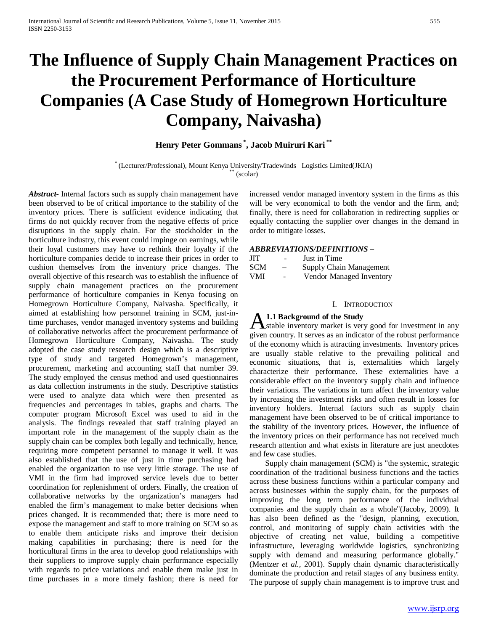# **The Influence of Supply Chain Management Practices on the Procurement Performance of Horticulture Companies (A Case Study of Homegrown Horticulture Company, Naivasha)**

# **Henry Peter Gommans \* , Jacob Muiruri Kari \*\***

\* (Lecturer/Professional), Mount Kenya University/Tradewinds Logistics Limited(JKIA) \*\* (scolar)

*Abstract***-** Internal factors such as supply chain management have been observed to be of critical importance to the stability of the inventory prices. There is sufficient evidence indicating that firms do not quickly recover from the negative effects of price disruptions in the supply chain. For the stockholder in the horticulture industry, this event could impinge on earnings, while their loyal customers may have to rethink their loyalty if the horticulture companies decide to increase their prices in order to cushion themselves from the inventory price changes. The overall objective of this research was to establish the influence of supply chain management practices on the procurement performance of horticulture companies in Kenya focusing on Homegrown Horticulture Company, Naivasha. Specifically, it aimed at establishing how personnel training in SCM, just-intime purchases, vendor managed inventory systems and building of collaborative networks affect the procurement performance of Homegrown Horticulture Company, Naivasha. The study adopted the case study research design which is a descriptive type of study and targeted Homegrown's management, procurement, marketing and accounting staff that number 39. The study employed the census method and used questionnaires as data collection instruments in the study. Descriptive statistics were used to analyze data which were then presented as frequencies and percentages in tables, graphs and charts. The computer program Microsoft Excel was used to aid in the analysis. The findings revealed that staff training played an important role in the management of the supply chain as the supply chain can be complex both legally and technically, hence, requiring more competent personnel to manage it well. It was also established that the use of just in time purchasing had enabled the organization to use very little storage. The use of VMI in the firm had improved service levels due to better coordination for replenishment of orders. Finally, the creation of collaborative networks by the organization's managers had enabled the firm's management to make better decisions when prices changed. It is recommended that; there is more need to expose the management and staff to more training on SCM so as to enable them anticipate risks and improve their decision making capabilities in purchasing; there is need for the horticultural firms in the area to develop good relationships with their suppliers to improve supply chain performance especially with regards to price variations and enable them make just in time purchases in a more timely fashion; there is need for

increased vendor managed inventory system in the firms as this will be very economical to both the vendor and the firm, and; finally, there is need for collaboration in redirecting supplies or equally contacting the supplier over changes in the demand in order to mitigate losses.

# *ABBREVIATIONS/DEFINITIONS* –

| <b>JIT</b> | -      | Just in Time             |
|------------|--------|--------------------------|
| <b>SCM</b> | $-$    | Supply Chain Management  |
| <b>VMI</b> | $\sim$ | Vendor Managed Inventory |

#### I. INTRODUCTION

# **1.1 Background of the Study**

**A.1.1 Background of the Study**<br>
Stable inventory market is very good for investment in any given country. It serves as an indicator of the robust performance of the economy which is attracting investments. Inventory prices are usually stable relative to the prevailing political and economic situations, that is, externalities which largely characterize their performance. These externalities have a considerable effect on the inventory supply chain and influence their variations. The variations in turn affect the inventory value by increasing the investment risks and often result in losses for inventory holders. Internal factors such as supply chain management have been observed to be of critical importance to the stability of the inventory prices. However, the influence of the inventory prices on their performance has not received much research attention and what exists in literature are just anecdotes and few case studies.

 Supply chain management (SCM) is "the systemic, strategic coordination of the traditional business functions and the tactics across these business functions within a particular company and across businesses within the supply chain, for the purposes of improving the long term performance of the individual companies and the supply chain as a whole"(Jacoby, 2009). It has also been defined as the "design, planning, execution, control, and monitoring of supply chain activities with the objective of creating net value, building a competitive infrastructure, leveraging worldwide logistics, synchronizing supply with demand and measuring performance globally." (Mentzer *et al.,* 2001). Supply chain dynamic characteristically dominate the production and retail stages of any business entity. The purpose of supply chain management is to improve trust and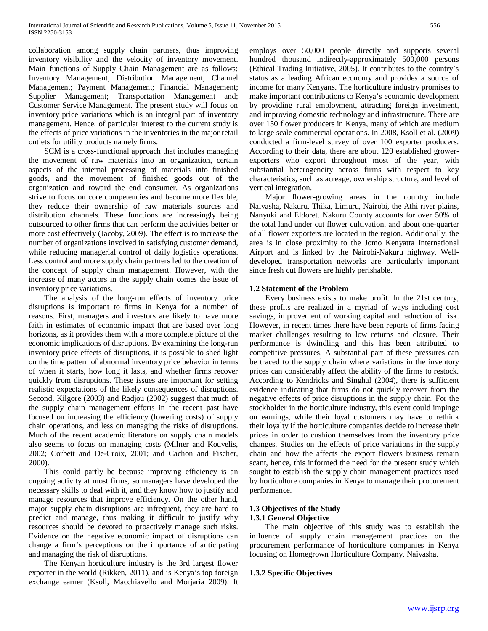collaboration among supply chain partners, thus improving inventory visibility and the velocity of inventory movement. Main functions of Supply Chain Management are as follows: Inventory Management; Distribution Management; Channel Management; Payment Management; Financial Management; Supplier Management; Transportation Management and; Customer Service Management. The present study will focus on inventory price variations which is an integral part of inventory management. Hence, of particular interest to the current study is the effects of price variations in the inventories in the major retail outlets for utility products namely firms.

 SCM is a cross-functional approach that includes managing the movement of raw materials into an organization, certain aspects of the internal processing of materials into finished goods, and the movement of finished goods out of the organization and toward the end consumer. As organizations strive to focus on core competencies and become more flexible, they reduce their ownership of raw materials sources and distribution channels. These functions are increasingly being outsourced to other firms that can perform the activities better or more cost effectively (Jacoby, 2009). The effect is to increase the number of organizations involved in satisfying customer demand, while reducing managerial control of daily logistics operations. Less control and more supply chain partners led to the creation of the concept of supply chain management. However, with the increase of many actors in the supply chain comes the issue of inventory price variations.

 The analysis of the long-run effects of inventory price disruptions is important to firms in Kenya for a number of reasons. First, managers and investors are likely to have more faith in estimates of economic impact that are based over long horizons, as it provides them with a more complete picture of the economic implications of disruptions. By examining the long-run inventory price effects of disruptions, it is possible to shed light on the time pattern of abnormal inventory price behavior in terms of when it starts, how long it lasts, and whether firms recover quickly from disruptions. These issues are important for setting realistic expectations of the likely consequences of disruptions. Second, Kilgore (2003) and Radjou (2002) suggest that much of the supply chain management efforts in the recent past have focused on increasing the efficiency (lowering costs) of supply chain operations, and less on managing the risks of disruptions. Much of the recent academic literature on supply chain models also seems to focus on managing costs (Milner and Kouvelis, 2002; Corbett and De-Croix, 2001; and Cachon and Fischer, 2000).

 This could partly be because improving efficiency is an ongoing activity at most firms, so managers have developed the necessary skills to deal with it, and they know how to justify and manage resources that improve efficiency. On the other hand, major supply chain disruptions are infrequent, they are hard to predict and manage, thus making it difficult to justify why resources should be devoted to proactively manage such risks. Evidence on the negative economic impact of disruptions can change a firm's perceptions on the importance of anticipating and managing the risk of disruptions.

 The Kenyan horticulture industry is the 3rd largest flower exporter in the world (Rikken, 2011), and is Kenya's top foreign exchange earner (Ksoll, Macchiavello and Morjaria 2009). It employs over 50,000 people directly and supports several hundred thousand indirectly-approximately 500,000 persons (Ethical Trading Initiative, 2005). It contributes to the country's status as a leading African economy and provides a source of income for many Kenyans. The horticulture industry promises to make important contributions to Kenya's economic development by providing rural employment, attracting foreign investment, and improving domestic technology and infrastructure. There are over 150 flower producers in Kenya, many of which are medium to large scale commercial operations. In 2008, Ksoll et al. (2009) conducted a firm-level survey of over 100 exporter producers. According to their data, there are about 120 established growerexporters who export throughout most of the year, with substantial heterogeneity across firms with respect to key characteristics, such as acreage, ownership structure, and level of vertical integration.

 Major flower-growing areas in the country include Naivasha, Nakuru, Thika, Limuru, Nairobi, the Athi river plains, Nanyuki and Eldoret. Nakuru County accounts for over 50% of the total land under cut flower cultivation, and about one-quarter of all flower exporters are located in the region. Additionally, the area is in close proximity to the Jomo Kenyatta International Airport and is linked by the Nairobi-Nakuru highway. Welldeveloped transportation networks are particularly important since fresh cut flowers are highly perishable.

# **1.2 Statement of the Problem**

 Every business exists to make profit. In the 21st century, these profits are realized in a myriad of ways including cost savings, improvement of working capital and reduction of risk. However, in recent times there have been reports of firms facing market challenges resulting to low returns and closure. Their performance is dwindling and this has been attributed to competitive pressures. A substantial part of these pressures can be traced to the supply chain where variations in the inventory prices can considerably affect the ability of the firms to restock. According to Kendricks and Singhal (2004), there is sufficient evidence indicating that firms do not quickly recover from the negative effects of price disruptions in the supply chain. For the stockholder in the horticulture industry, this event could impinge on earnings, while their loyal customers may have to rethink their loyalty if the horticulture companies decide to increase their prices in order to cushion themselves from the inventory price changes. Studies on the effects of price variations in the supply chain and how the affects the export flowers business remain scant, hence, this informed the need for the present study which sought to establish the supply chain management practices used by horticulture companies in Kenya to manage their procurement performance.

# **1.3 Objectives of the Study 1.3.1 General Objective**

 The main objective of this study was to establish the influence of supply chain management practices on the procurement performance of horticulture companies in Kenya focusing on Homegrown Horticulture Company, Naivasha.

## **1.3.2 Specific Objectives**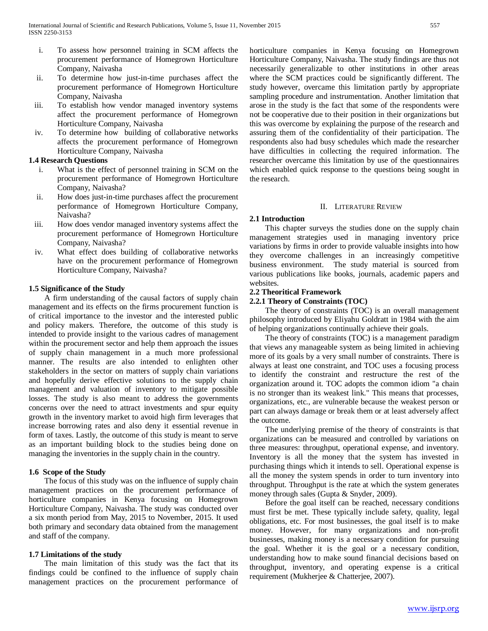- i. To assess how personnel training in SCM affects the procurement performance of Homegrown Horticulture Company, Naivasha
- ii. To determine how just-in-time purchases affect the procurement performance of Homegrown Horticulture Company, Naivasha
- iii. To establish how vendor managed inventory systems affect the procurement performance of Homegrown Horticulture Company, Naivasha
- iv. To determine how building of collaborative networks affects the procurement performance of Homegrown Horticulture Company, Naivasha

## **1.4 Research Questions**

- i. What is the effect of personnel training in SCM on the procurement performance of Homegrown Horticulture Company, Naivasha?
- ii. How does just-in-time purchases affect the procurement performance of Homegrown Horticulture Company, Naivasha?
- iii. How does vendor managed inventory systems affect the procurement performance of Homegrown Horticulture Company, Naivasha?
- iv. What effect does building of collaborative networks have on the procurement performance of Homegrown Horticulture Company, Naivasha?

# **1.5 Significance of the Study**

 A firm understanding of the causal factors of supply chain management and its effects on the firms procurement function is of critical importance to the investor and the interested public and policy makers. Therefore, the outcome of this study is intended to provide insight to the various cadres of management within the procurement sector and help them approach the issues of supply chain management in a much more professional manner. The results are also intended to enlighten other stakeholders in the sector on matters of supply chain variations and hopefully derive effective solutions to the supply chain management and valuation of inventory to mitigate possible losses. The study is also meant to address the governments concerns over the need to attract investments and spur equity growth in the inventory market to avoid high firm leverages that increase borrowing rates and also deny it essential revenue in form of taxes. Lastly, the outcome of this study is meant to serve as an important building block to the studies being done on managing the inventories in the supply chain in the country.

## **1.6 Scope of the Study**

 The focus of this study was on the influence of supply chain management practices on the procurement performance of horticulture companies in Kenya focusing on Homegrown Horticulture Company, Naivasha. The study was conducted over a six month period from May, 2015 to November, 2015. It used both primary and secondary data obtained from the management and staff of the company.

### **1.7 Limitations of the study**

 The main limitation of this study was the fact that its findings could be confined to the influence of supply chain management practices on the procurement performance of horticulture companies in Kenya focusing on Homegrown Horticulture Company, Naivasha. The study findings are thus not necessarily generalizable to other institutions in other areas where the SCM practices could be significantly different. The study however, overcame this limitation partly by appropriate sampling procedure and instrumentation. Another limitation that arose in the study is the fact that some of the respondents were not be cooperative due to their position in their organizations but this was overcome by explaining the purpose of the research and assuring them of the confidentiality of their participation. The respondents also had busy schedules which made the researcher have difficulties in collecting the required information. The researcher overcame this limitation by use of the questionnaires which enabled quick response to the questions being sought in the research.

## II. LITERATURE REVIEW

### **2.1 Introduction**

 This chapter surveys the studies done on the supply chain management strategies used in managing inventory price variations by firms in order to provide valuable insights into how they overcome challenges in an increasingly competitive business environment. The study material is sourced from various publications like books, journals, academic papers and websites.

## **2.2 Theoritical Framework**

## **2.2.1 Theory of Constraints (TOC)**

 The theory of constraints (TOC) is an overall management philosophy introduced by Eliyahu Goldratt in 1984 with the aim of helping organizations continually achieve their goals.

 The theory of constraints (TOC) is a management paradigm that views any manageable system as being limited in achieving more of its goals by a very small number of constraints. There is always at least one constraint, and TOC uses a focusing process to identify the constraint and restructure the rest of the organization around it. TOC adopts the common idiom "a chain is no stronger than its weakest link." This means that processes, organizations, etc., are vulnerable because the weakest person or part can always damage or break them or at least adversely affect the outcome.

 The underlying premise of the theory of constraints is that organizations can be measured and controlled by variations on three measures: throughput, operational expense, and inventory. Inventory is all the money that the system has invested in purchasing things which it intends to sell. Operational expense is all the money the system spends in order to turn inventory into throughput. Throughput is the rate at which the system generates money through sales (Gupta & Snyder, 2009).

 Before the goal itself can be reached, necessary conditions must first be met. These typically include safety, quality, legal obligations, etc. For most businesses, the goal itself is to make money. However, for many organizations and non-profit businesses, making money is a necessary condition for pursuing the goal. Whether it is the goal or a necessary condition, understanding how to make sound financial decisions based on throughput, inventory, and operating expense is a critical requirement (Mukherjee & Chatterjee, 2007).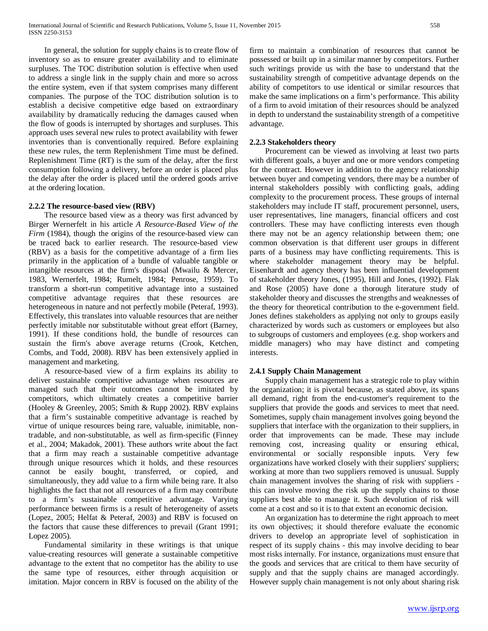In general, the solution for supply chains is to create flow of inventory so as to ensure greater availability and to eliminate surpluses. The TOC distribution solution is effective when used to address a single link in the supply chain and more so across the entire system, even if that system comprises many different companies. The purpose of the TOC distribution solution is to establish a decisive competitive edge based on extraordinary availability by dramatically reducing the damages caused when the flow of goods is interrupted by shortages and surpluses. This approach uses several new rules to protect availability with fewer inventories than is conventionally required. Before explaining these new rules, the term Replenishment Time must be defined. Replenishment Time (RT) is the sum of the delay, after the first consumption following a delivery, before an order is placed plus the delay after the order is placed until the ordered goods arrive at the ordering location.

## **2.2.2 The resource-based view (RBV)**

 The resource based view as a theory was first advanced by Birger Wernerfelt in his article *A Resource-Based View of the Firm* (1984), though the origins of the resource-based view can be traced back to earlier research. The resource-based view (RBV) as a basis for the competitive advantage of a firm lies primarily in the application of a bundle of valuable tangible or intangible resources at the firm's disposal (Mwailu & Mercer, 1983, Wernerfelt, 1984; Rumelt, 1984; Penrose, 1959). To transform a short-run competitive advantage into a sustained competitive advantage requires that these resources are heterogeneous in nature and not perfectly mobile (Peteraf, 1993). Effectively, this translates into valuable resources that are neither perfectly imitable nor substitutable without great effort (Barney, 1991). If these conditions hold, the bundle of resources can sustain the firm's above average returns (Crook, Ketchen, Combs, and Todd, 2008). RBV has been extensively applied in management and marketing.

 A resource-based view of a firm explains its ability to deliver sustainable competitive advantage when resources are managed such that their outcomes cannot be imitated by competitors, which ultimately creates a competitive barrier (Hooley & Greenley, 2005; Smith & Rupp 2002). RBV explains that a firm's sustainable competitive advantage is reached by virtue of unique resources being rare, valuable, inimitable, nontradable, and non-substitutable, as well as firm-specific (Finney et al., 2004; Makadok, 2001). These authors write about the fact that a firm may reach a sustainable competitive advantage through unique resources which it holds, and these resources cannot be easily bought, transferred, or copied, and simultaneously, they add value to a firm while being rare. It also highlights the fact that not all resources of a firm may contribute to a firm's sustainable competitive advantage. Varying performance between firms is a result of heterogeneity of assets (Lopez, 2005; Helfat & Peteraf, 2003) and RBV is focused on the factors that cause these differences to prevail (Grant 1991; Lopez 2005).

 Fundamental similarity in these writings is that unique value-creating resources will generate a sustainable competitive advantage to the extent that no competitor has the ability to use the same type of resources, either through acquisition or imitation. Major concern in RBV is focused on the ability of the firm to maintain a combination of resources that cannot be possessed or built up in a similar manner by competitors. Further such writings provide us with the base to understand that the sustainability strength of competitive advantage depends on the ability of competitors to use identical or similar resources that make the same implications on a firm's performance. This ability of a firm to avoid imitation of their resources should be analyzed in depth to understand the sustainability strength of a competitive advantage.

## **2.2.3 Stakeholders theory**

 Procurement can be viewed as involving at least two parts with different goals, a buyer and one or more vendors competing for the contract. However in addition to the agency relationship between buyer and competing vendors, there may be a number of internal stakeholders possibly with conflicting goals, adding complexity to the procurement process. These groups of internal stakeholders may include IT staff, procurement personnel, users, user representatives, line managers, financial officers and cost controllers. These may have conflicting interests even though there may not be an agency relationship between them; one common observation is that different user groups in different parts of a business may have conflicting requirements. This is where stakeholder management theory may be helpful. Eisenhardt and agency theory has been influential development of stakeholder theory Jones, (1995), Hill and Jones, (1992). Flak and Rose (2005) have done a thorough literature study of stakeholder theory and discusses the strengths and weaknesses of the theory for theoretical contribution to the e-government field. Jones defines stakeholders as applying not only to groups easily characterized by words such as customers or employees but also to subgroups of customers and employees (e.g. shop workers and middle managers) who may have distinct and competing interests.

## **2.4.1 Supply Chain Management**

 Supply chain management has a strategic role to play within the organization; it is pivotal because, as stated above, its spans all demand, right from the end-customer's requirement to the suppliers that provide the goods and services to meet that need. Sometimes, supply chain management involves going beyond the suppliers that interface with the organization to their suppliers, in order that improvements can be made. These may include removing cost, increasing quality or ensuring ethical, environmental or socially responsible inputs. Very few organizations have worked closely with their suppliers' suppliers; working at more than two suppliers removed is unusual. Supply chain management involves the sharing of risk with suppliers this can involve moving the risk up the supply chains to those suppliers best able to manage it. Such devolution of risk will come at a cost and so it is to that extent an economic decision.

 An organization has to determine the right approach to meet its own objectives; it should therefore evaluate the economic drivers to develop an appropriate level of sophistication in respect of its supply chains - this may involve deciding to bear most risks internally. For instance, organizations must ensure that the goods and services that are critical to them have security of supply and that the supply chains are managed accordingly. However supply chain management is not only about sharing risk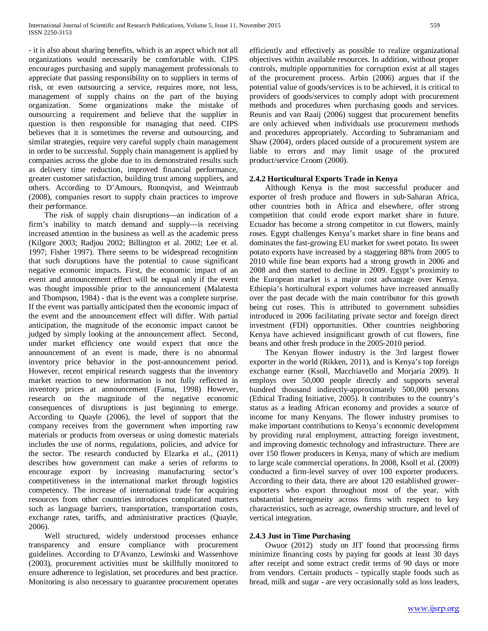- it is also about sharing benefits, which is an aspect which not all organizations would necessarily be comfortable with. CIPS encourages purchasing and supply management professionals to appreciate that passing responsibility on to suppliers in terms of risk, or even outsourcing a service, requires more, not less, management of supply chains on the part of the buying organization. Some organizations make the mistake of outsourcing a requirement and believe that the supplier in question is then responsible for managing that need. CIPS believes that it is sometimes the reverse and outsourcing, and similar strategies, require very careful supply chain management in order to be successful. Supply chain management is applied by companies across the globe due to its demonstrated results such as delivery time reduction, improved financial performance, greater customer satisfaction, building trust among suppliers, and others. According to D'Amours, Ronnqvist, and Weintraub (2008), companies resort to supply chain practices to improve their performance.

 The risk of supply chain disruptions—an indication of a firm's inability to match demand and supply—is receiving increased attention in the business as well as the academic press (Kilgore 2003; Radjou 2002; Billington et al. 2002; Lee et al. 1997; Fisher 1997). There seems to be widespread recognition that such disruptions have the potential to cause significant negative economic impacts. First, the economic impact of an event and announcement effect will be equal only if the event was thought impossible prior to the announcement (Malatesta and Thompson, 1984) - that is the event was a complete surprise. If the event was partially anticipated then the economic impact of the event and the announcement effect will differ. With partial anticipation, the magnitude of the economic impact cannot be judged by simply looking at the announcement affect. Second, under market efficiency one would expect that once the announcement of an event is made, there is no abnormal inventory price behavior in the post-announcement period. However, recent empirical research suggests that the inventory market reaction to new information is not fully reflected in inventory prices at announcement (Fama, 1998) However, research on the magnitude of the negative economic consequences of disruptions is just beginning to emerge. According to Quayle (2006), the level of support that the company receives from the government when importing raw materials or products from overseas or using domestic materials includes the use of norms, regulations, policies, and advice for the sector. The research conducted by Elzarka et al., (2011) describes how government can make a series of reforms to encourage export by increasing manufacturing sector's competitiveness in the international market through logistics competency. The increase of international trade for acquiring resources from other countries introduces complicated matters such as language barriers, transportation, transportation costs, exchange rates, tariffs, and administrative practices (Quayle, 2006).

 Well structured, widely understood processes enhance transparency and ensure compliance with procurement guidelines. According to D'Avanzo, Lewinski and Wassenhove (2003), procurement activities must be skillfully monitored to ensure adherence to legislation, set procedures and best practice. Monitoring is also necessary to guarantee procurement operates efficiently and effectively as possible to realize organizational objectives within available resources. In addition, without proper controls, multiple opportunities for corruption exist at all stages of the procurement process. Arbin (2006) argues that if the potential value of goods/services is to be achieved, it is critical to providers of goods/services to comply adopt with procurement methods and procedures when purchasing goods and services. Reunis and van Raaij (2006) suggest that procurement benefits are only achieved when individuals use procurement methods and procedures appropriately. According to Subramaniam and Shaw (2004), orders placed outside of a procurement system are liable to errors and may limit usage of the procured product/service Croom (2000).

# **2.4.2 Horticultural Exports Trade in Kenya**

 Although Kenya is the most successful producer and exporter of fresh produce and flowers in sub-Saharan Africa, other countries both in Africa and elsewhere, offer strong competition that could erode export market share in future. Ecuador has become a strong competitor in cut flowers, mainly roses. Egypt challenges Kenya's market share in fine beans and dominates the fast-growing EU market for sweet potato. Its sweet potato exports have increased by a staggering 88% from 2005 to 2010 while fine bean exports had a strong growth in 2006 and 2008 and then started to decline in 2009. Egypt's proximity to the European market is a major cost advantage over Kenya. Ethiopia's horticultural export volumes have increased annually over the past decade with the main contributor for this growth being cut roses. This is attributed to government subsidies introduced in 2006 facilitating private sector and foreign direct investment (FDI) opportunities. Other countries neighboring Kenya have achieved insignificant growth of cut flowers, fine beans and other fresh produce in the 2005-2010 period.

 The Kenyan flower industry is the 3rd largest flower exporter in the world (Rikken, 2011), and is Kenya's top foreign exchange earner (Ksoll, Macchiavello and Morjaria 2009). It employs over 50,000 people directly and supports several hundred thousand indirectly-approximately 500,000 persons (Ethical Trading Initiative, 2005). It contributes to the country's status as a leading African economy and provides a source of income for many Kenyans. The flower industry promises to make important contributions to Kenya's economic development by providing rural employment, attracting foreign investment, and improving domestic technology and infrastructure. There are over 150 flower producers in Kenya, many of which are medium to large scale commercial operations. In 2008, Ksoll et al. (2009) conducted a firm-level survey of over 100 exporter producers. According to their data, there are about 120 established growerexporters who export throughout most of the year, with substantial heterogeneity across firms with respect to key characteristics, such as acreage, ownership structure, and level of vertical integration.

### **2.4.3 Just in Time Purchasing**

 Owuor (2012) study on JIT found that processing firms minimize financing costs by paying for goods at least 30 days after receipt and some extract credit terms of 90 days or more from vendors. Certain products - typically staple foods such as bread, milk and sugar - are very occasionally sold as loss leaders,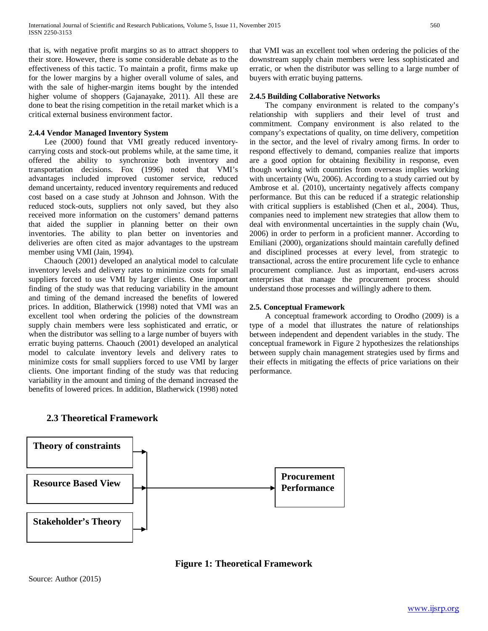that is, with negative profit margins so as to attract shoppers to their store. However, there is some considerable debate as to the effectiveness of this tactic. To maintain a profit, firms make up for the lower margins by a higher overall volume of sales, and with the sale of higher-margin items bought by the intended higher volume of shoppers (Gajanayake, 2011). All these are done to beat the rising competition in the retail market which is a critical external business environment factor.

# **2.4.4 Vendor Managed Inventory System**

 Lee (2000) found that VMI greatly reduced inventorycarrying costs and stock-out problems while, at the same time, it offered the ability to synchronize both inventory and transportation decisions. Fox (1996) noted that VMI's advantages included improved customer service, reduced demand uncertainty, reduced inventory requirements and reduced cost based on a case study at Johnson and Johnson. With the reduced stock-outs, suppliers not only saved, but they also received more information on the customers' demand patterns that aided the supplier in planning better on their own inventories. The ability to plan better on inventories and deliveries are often cited as major advantages to the upstream member using VMI (Jain, 1994).

 Chaouch (2001) developed an analytical model to calculate inventory levels and delivery rates to minimize costs for small suppliers forced to use VMI by larger clients. One important finding of the study was that reducing variability in the amount and timing of the demand increased the benefits of lowered prices. In addition, Blatherwick (1998) noted that VMI was an excellent tool when ordering the policies of the downstream supply chain members were less sophisticated and erratic, or when the distributor was selling to a large number of buyers with erratic buying patterns. Chaouch (2001) developed an analytical model to calculate inventory levels and delivery rates to minimize costs for small suppliers forced to use VMI by larger clients. One important finding of the study was that reducing variability in the amount and timing of the demand increased the benefits of lowered prices. In addition, Blatherwick (1998) noted that VMI was an excellent tool when ordering the policies of the downstream supply chain members were less sophisticated and erratic, or when the distributor was selling to a large number of buyers with erratic buying patterns.

# **2.4.5 Building Collaborative Networks**

 The company environment is related to the company's relationship with suppliers and their level of trust and commitment. Company environment is also related to the company's expectations of quality, on time delivery, competition in the sector, and the level of rivalry among firms. In order to respond effectively to demand, companies realize that imports are a good option for obtaining flexibility in response, even though working with countries from overseas implies working with uncertainty (Wu, 2006). According to a study carried out by Ambrose et al. (2010), uncertainty negatively affects company performance. But this can be reduced if a strategic relationship with critical suppliers is established (Chen et al., 2004). Thus, companies need to implement new strategies that allow them to deal with environmental uncertainties in the supply chain (Wu, 2006) in order to perform in a proficient manner. According to Emiliani (2000), organizations should maintain carefully defined and disciplined processes at every level, from strategic to transactional, across the entire procurement life cycle to enhance procurement compliance. Just as important, end-users across enterprises that manage the procurement process should understand those processes and willingly adhere to them.

# **2.5. Conceptual Framework**

 A conceptual framework according to Orodho (2009) is a type of a model that illustrates the nature of relationships between independent and dependent variables in the study. The conceptual framework in Figure 2 hypothesizes the relationships between supply chain management strategies used by firms and their effects in mitigating the effects of price variations on their performance.



# **2.3 Theoretical Framework**

**Figure 1: Theoretical Framework**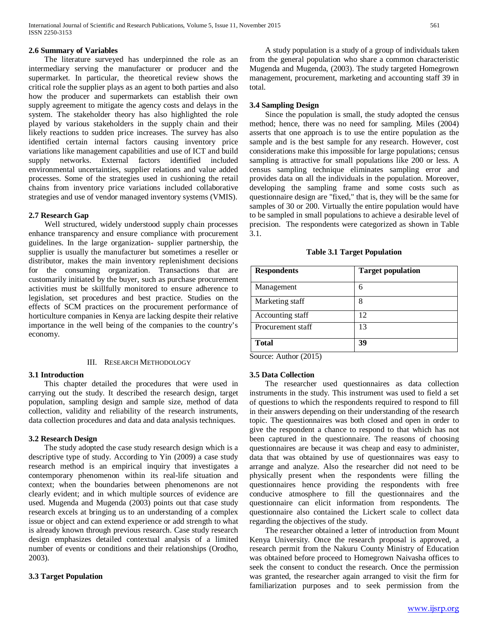# **2.6 Summary of Variables**

 The literature surveyed has underpinned the role as an intermediary serving the manufacturer or producer and the supermarket. In particular, the theoretical review shows the critical role the supplier plays as an agent to both parties and also how the producer and supermarkets can establish their own supply agreement to mitigate the agency costs and delays in the system. The stakeholder theory has also highlighted the role played by various stakeholders in the supply chain and their likely reactions to sudden price increases. The survey has also identified certain internal factors causing inventory price variations like management capabilities and use of ICT and build supply networks. External factors identified included environmental uncertainties, supplier relations and value added processes. Some of the strategies used in cushioning the retail chains from inventory price variations included collaborative strategies and use of vendor managed inventory systems (VMIS).

# **2.7 Research Gap**

 Well structured, widely understood supply chain processes enhance transparency and ensure compliance with procurement guidelines. In the large organization- supplier partnership, the supplier is usually the manufacturer but sometimes a reseller or distributor, makes the main inventory replenishment decisions for the consuming organization. Transactions that are customarily initiated by the buyer, such as purchase procurement activities must be skillfully monitored to ensure adherence to legislation, set procedures and best practice. Studies on the effects of SCM practices on the procurement performance of horticulture companies in Kenya are lacking despite their relative importance in the well being of the companies to the country's economy.

# III. RESEARCH METHODOLOGY

# **3.1 Introduction**

 This chapter detailed the procedures that were used in carrying out the study. It described the research design, target population, sampling design and sample size, method of data collection, validity and reliability of the research instruments, data collection procedures and data and data analysis techniques.

# **3.2 Research Design**

 The study adopted the case study research design which is a descriptive type of study. According to Yin (2009) a case study research method is an empirical inquiry that investigates a contemporary phenomenon within its real-life situation and context; when the boundaries between phenomenons are not clearly evident; and in which multiple sources of evidence are used. Mugenda and Mugenda (2003) points out that case study research excels at bringing us to an understanding of a complex issue or object and can extend experience or add strength to what is already known through previous research. Case study research design emphasizes detailed contextual analysis of a limited number of events or conditions and their relationships (Orodho, 2003).

# **3.3 Target Population**

 A study population is a study of a group of individuals taken from the general population who share a common characteristic Mugenda and Mugenda, (2003). The study targeted Homegrown management, procurement, marketing and accounting staff 39 in total.

# **3.4 Sampling Design**

 Since the population is small, the study adopted the census method; hence, there was no need for sampling. Miles (2004) asserts that one approach is to use the entire population as the sample and is the best sample for any research. However, cost considerations make this impossible for large populations; census sampling is attractive for small populations like 200 or less. A census sampling technique eliminates sampling error and provides data on all the individuals in the population. Moreover, developing the sampling frame and some costs such as questionnaire design are "fixed," that is, they will be the same for samples of 30 or 200. Virtually the entire population would have to be sampled in small populations to achieve a desirable level of precision. The respondents were categorized as shown in Table 3.1.

| <b>Respondents</b>                       | <b>Target population</b> |
|------------------------------------------|--------------------------|
| Management                               | 6                        |
| Marketing staff                          | 8                        |
| Accounting staff                         | 12                       |
| Procurement staff                        | 13                       |
| <b>Total</b><br>$\lambda = -1$<br>(0.01) | 39                       |

Source: Author (2015)

# **3.5 Data Collection**

 The researcher used questionnaires as data collection instruments in the study. This instrument was used to field a set of questions to which the respondents required to respond to fill in their answers depending on their understanding of the research topic. The questionnaires was both closed and open in order to give the respondent a chance to respond to that which has not been captured in the questionnaire. The reasons of choosing questionnaires are because it was cheap and easy to administer, data that was obtained by use of questionnaires was easy to arrange and analyze. Also the researcher did not need to be physically present when the respondents were filling the questionnaires hence providing the respondents with free conducive atmosphere to fill the questionnaires and the questionnaire can elicit information from respondents. The questionnaire also contained the Lickert scale to collect data regarding the objectives of the study.

 The researcher obtained a letter of introduction from Mount Kenya University. Once the research proposal is approved, a research permit from the Nakuru County Ministry of Education was obtained before proceed to Homegrown Naivasha offices to seek the consent to conduct the research. Once the permission was granted, the researcher again arranged to visit the firm for familiarization purposes and to seek permission from the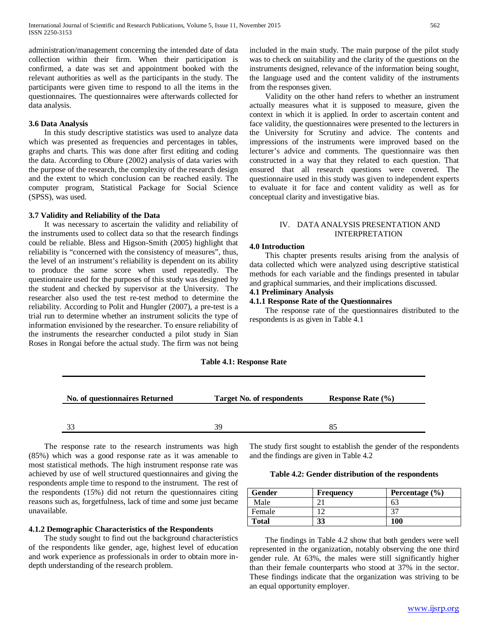administration/management concerning the intended date of data collection within their firm. When their participation is confirmed, a date was set and appointment booked with the relevant authorities as well as the participants in the study. The participants were given time to respond to all the items in the questionnaires. The questionnaires were afterwards collected for data analysis.

## **3.6 Data Analysis**

 In this study descriptive statistics was used to analyze data which was presented as frequencies and percentages in tables, graphs and charts. This was done after first editing and coding the data. According to Obure (2002) analysis of data varies with the purpose of the research, the complexity of the research design and the extent to which conclusion can be reached easily. The computer program, Statistical Package for Social Science (SPSS), was used.

### **3.7 Validity and Reliability of the Data**

 It was necessary to ascertain the validity and reliability of the instruments used to collect data so that the research findings could be reliable. Bless and Higson-Smith (2005) highlight that reliability is "concerned with the consistency of measures", thus, the level of an instrument's reliability is dependent on its ability to produce the same score when used repeatedly. The questionnaire used for the purposes of this study was designed by the student and checked by supervisor at the University. The researcher also used the test re-test method to determine the reliability. According to Polit and Hungler (2007), a pre-test is a trial run to determine whether an instrument solicits the type of information envisioned by the researcher. To ensure reliability of the instruments the researcher conducted a pilot study in Sian Roses in Rongai before the actual study. The firm was not being included in the main study. The main purpose of the pilot study was to check on suitability and the clarity of the questions on the instruments designed, relevance of the information being sought, the language used and the content validity of the instruments from the responses given.

 Validity on the other hand refers to whether an instrument actually measures what it is supposed to measure, given the context in which it is applied. In order to ascertain content and face validity, the questionnaires were presented to the lecturers in the University for Scrutiny and advice. The contents and impressions of the instruments were improved based on the lecturer's advice and comments. The questionnaire was then constructed in a way that they related to each question. That ensured that all research questions were covered. The questionnaire used in this study was given to independent experts to evaluate it for face and content validity as well as for conceptual clarity and investigative bias.

# IV. DATA ANALYSIS PRESENTATION AND INTERPRETATION

## **4.0 Introduction**

 This chapter presents results arising from the analysis of data collected which were analyzed using descriptive statistical methods for each variable and the findings presented in tabular and graphical summaries, and their implications discussed.

# **4.1 Preliminary Analysis**

**4.1.1 Response Rate of the Questionnaires**

 The response rate of the questionnaires distributed to the respondents is as given in Table 4.1

### **Table 4.1: Response Rate**

| <b>No. of questionnaires Returned</b> | <b>Target No. of respondents</b> | Response Rate $(\% )$ |
|---------------------------------------|----------------------------------|-----------------------|
|                                       |                                  |                       |
|                                       | 39                               | ×5                    |

 The response rate to the research instruments was high (85%) which was a good response rate as it was amenable to most statistical methods. The high instrument response rate was achieved by use of well structured questionnaires and giving the respondents ample time to respond to the instrument. The rest of the respondents (15%) did not return the questionnaires citing reasons such as, forgetfulness, lack of time and some just became unavailable.

## **4.1.2 Demographic Characteristics of the Respondents**

 The study sought to find out the background characteristics of the respondents like gender, age, highest level of education and work experience as professionals in order to obtain more indepth understanding of the research problem.

The study first sought to establish the gender of the respondents and the findings are given in Table 4.2

#### **Table 4.2: Gender distribution of the respondents**

| Gender       | Frequency | Percentage $(\% )$ |
|--------------|-----------|--------------------|
| Male         |           |                    |
| Female       |           |                    |
| <b>Total</b> | JJ        | 100                |

 The findings in Table 4.2 show that both genders were well represented in the organization, notably observing the one third gender rule. At 63%, the males were still significantly higher than their female counterparts who stood at 37% in the sector. These findings indicate that the organization was striving to be an equal opportunity employer.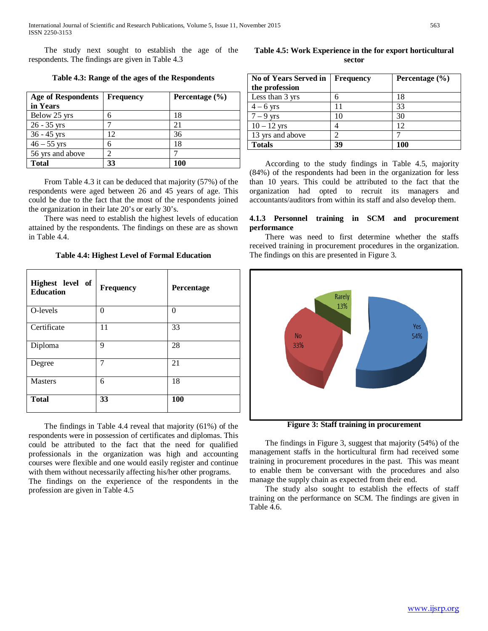The study next sought to establish the age of the respondents. The findings are given in Table 4.3

**Table 4.3: Range of the ages of the Respondents**

| <b>Age of Respondents</b><br>in Years | <b>Frequency</b> | Percentage $(\% )$ |
|---------------------------------------|------------------|--------------------|
| Below 25 yrs                          | 6                | 18                 |
| $26 - 35$ yrs                         |                  | 21                 |
| $36 - 45$ yrs                         | 12               | 36                 |
| $46 - 55$ yrs                         | 6                | 18                 |
| 56 yrs and above                      | ി                |                    |
| <b>Total</b>                          |                  | 100                |

 From Table 4.3 it can be deduced that majority (57%) of the respondents were aged between 26 and 45 years of age. This could be due to the fact that the most of the respondents joined the organization in their late 20's or early 30's.

 There was need to establish the highest levels of education attained by the respondents. The findings on these are as shown in Table 4.4.

**Table 4.4: Highest Level of Formal Education**

| Highest level of<br><b>Education</b> | <b>Frequency</b> | Percentage |
|--------------------------------------|------------------|------------|
| O-levels                             | 0                | $\theta$   |
| Certificate                          | 11               | 33         |
| Diploma                              | 9                | 28         |
| Degree                               | 7                | 21         |
| <b>Masters</b>                       | 6                |            |
| <b>Total</b>                         | 33               | 100        |

 The findings in Table 4.4 reveal that majority (61%) of the respondents were in possession of certificates and diplomas. This could be attributed to the fact that the need for qualified professionals in the organization was high and accounting courses were flexible and one would easily register and continue with them without necessarily affecting his/her other programs. The findings on the experience of the respondents in the profession are given in Table 4.5

**Table 4.5: Work Experience in the for export horticultural sector**

| <b>No of Years Served in</b> | <b>Frequency</b> | Percentage $(\% )$ |
|------------------------------|------------------|--------------------|
| the profession               |                  |                    |
| Less than 3 yrs              | 6                | 18                 |
| $4-6$ yrs                    |                  | 33                 |
| $7-9$ yrs                    | 10               | 30                 |
| $10 - 12$ yrs                |                  | 12                 |
| 13 yrs and above             | っ                |                    |
| <b>Totals</b>                | 39               | 100                |

 According to the study findings in Table 4.5, majority (84%) of the respondents had been in the organization for less than 10 years. This could be attributed to the fact that the organization had opted to recruit its managers and accountants/auditors from within its staff and also develop them.

# **4.1.3 Personnel training in SCM and procurement performance**

 There was need to first determine whether the staffs received training in procurement procedures in the organization. The findings on this are presented in Figure 3.



**Figure 3: Staff training in procurement**

 The findings in Figure 3, suggest that majority (54%) of the management staffs in the horticultural firm had received some training in procurement procedures in the past. This was meant to enable them be conversant with the procedures and also manage the supply chain as expected from their end.

 The study also sought to establish the effects of staff training on the performance on SCM. The findings are given in Table 4.6.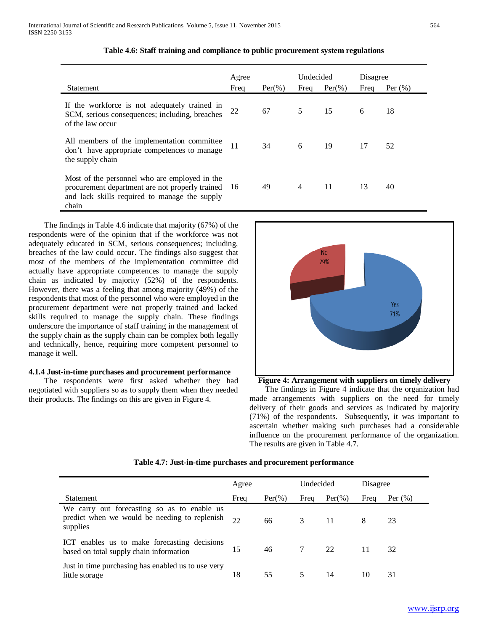| <b>Statement</b>                                                                                                                                              | Agree<br>Freq | $Per(\%)$ | Undecided<br>Freq | $Per(\%)$ | Disagree<br>Freq | Per $(\%)$ |
|---------------------------------------------------------------------------------------------------------------------------------------------------------------|---------------|-----------|-------------------|-----------|------------------|------------|
| If the workforce is not adequately trained in<br>SCM, serious consequences; including, breaches<br>of the law occur                                           | 22            | 67        | 5                 | 15        | 6                | 18         |
| All members of the implementation committee<br>don't have appropriate competences to manage<br>the supply chain                                               | 11            | 34        | 6                 | 19        | 17               | 52         |
| Most of the personnel who are employed in the<br>procurement department are not properly trained 16<br>and lack skills required to manage the supply<br>chain |               | 49        | $\overline{4}$    | 11        | 13               | 40         |

|  | Table 4.6: Staff training and compliance to public procurement system regulations |  |  |  |
|--|-----------------------------------------------------------------------------------|--|--|--|
|--|-----------------------------------------------------------------------------------|--|--|--|

 The findings in Table 4.6 indicate that majority (67%) of the respondents were of the opinion that if the workforce was not adequately educated in SCM, serious consequences; including, breaches of the law could occur. The findings also suggest that most of the members of the implementation committee did actually have appropriate competences to manage the supply chain as indicated by majority (52%) of the respondents. However, there was a feeling that among majority (49%) of the respondents that most of the personnel who were employed in the procurement department were not properly trained and lacked skills required to manage the supply chain. These findings underscore the importance of staff training in the management of the supply chain as the supply chain can be complex both legally and technically, hence, requiring more competent personnel to manage it well.

### **4.1.4 Just-in-time purchases and procurement performance**

 The respondents were first asked whether they had negotiated with suppliers so as to supply them when they needed their products. The findings on this are given in Figure 4.



**Figure 4: Arrangement with suppliers on timely delivery**

 The findings in Figure 4 indicate that the organization had made arrangements with suppliers on the need for timely delivery of their goods and services as indicated by majority (71%) of the respondents. Subsequently, it was important to ascertain whether making such purchases had a considerable influence on the procurement performance of the organization. The results are given in Table 4.7.

| Table 4.7: Just-in-time purchases and procurement performance |  |  |  |
|---------------------------------------------------------------|--|--|--|
|---------------------------------------------------------------|--|--|--|

|                                                                                                          | Agree |           | Undecided |           | Disagree |            |
|----------------------------------------------------------------------------------------------------------|-------|-----------|-----------|-----------|----------|------------|
| Statement                                                                                                | Freq  | $Per(\%)$ | Freq      | $Per(\%)$ | Freq     | Per $(\%)$ |
| We carry out forecasting so as to enable us<br>predict when we would be needing to replenish<br>supplies | 22    | 66        | 3         | 11        | 8        | 23         |
| ICT enables us to make forecasting decisions<br>based on total supply chain information                  | 15    | 46        |           | 22        | 11       | 32         |
| Just in time purchasing has enabled us to use very<br>little storage                                     | 18    | 55        |           | 14        | 10       | 31         |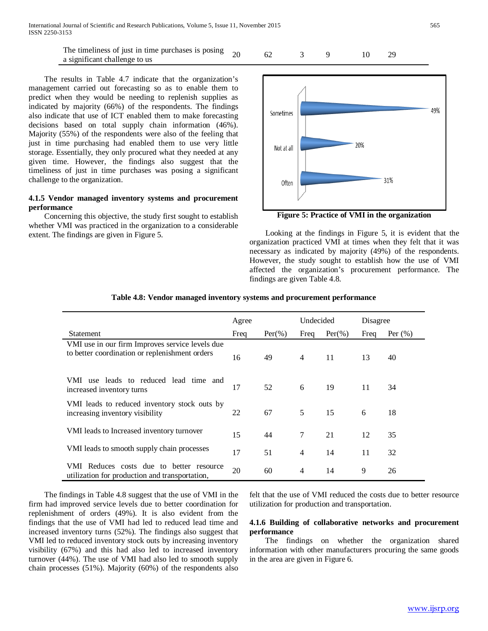The timeliness of just in time purchases is posing The unieness of just in time purchases is posing  $20$  62 3 9 10 29 a significant challenge to us

 The results in Table 4.7 indicate that the organization's management carried out forecasting so as to enable them to predict when they would be needing to replenish supplies as indicated by majority (66%) of the respondents. The findings also indicate that use of ICT enabled them to make forecasting decisions based on total supply chain information (46%). Majority (55%) of the respondents were also of the feeling that just in time purchasing had enabled them to use very little storage. Essentially, they only procured what they needed at any given time. However, the findings also suggest that the timeliness of just in time purchases was posing a significant challenge to the organization.

# **4.1.5 Vendor managed inventory systems and procurement performance**

 Concerning this objective, the study first sought to establish whether VMI was practiced in the organization to a considerable extent. The findings are given in Figure 5.



**Figure 5: Practice of VMI in the organization**

 Looking at the findings in Figure 5, it is evident that the organization practiced VMI at times when they felt that it was necessary as indicated by majority (49%) of the respondents. However, the study sought to establish how the use of VMI affected the organization's procurement performance. The findings are given Table 4.8.

|                                                                                                   | Agree |           | Undecided |           | Disagree |             |
|---------------------------------------------------------------------------------------------------|-------|-----------|-----------|-----------|----------|-------------|
| Statement                                                                                         | Freq  | $Per(\%)$ | Freq      | $Per(\%)$ | Freq     | Per $(\% )$ |
| VMI use in our firm Improves service levels due<br>to better coordination or replenishment orders | 16    | 49        | 4         | 11        | 13       | 40          |
| use leads to reduced lead time and<br>VMI –<br>increased inventory turns                          | 17    | 52        | 6         | 19        | 11       | 34          |
| VMI leads to reduced inventory stock outs by<br>increasing inventory visibility                   | 22    | 67        | 5         | 15        | 6        | 18          |
| VMI leads to Increased inventory turnover                                                         | 15    | 44        | $\tau$    | 21        | 12       | 35          |
| VMI leads to smooth supply chain processes                                                        | 17    | 51        | 4         | 14        | 11       | 32          |
| VMI Reduces costs due to better resource<br>utilization for production and transportation,        | 20    | 60        | 4         | 14        | 9        | 26          |

# **Table 4.8: Vendor managed inventory systems and procurement performance**

 The findings in Table 4.8 suggest that the use of VMI in the firm had improved service levels due to better coordination for replenishment of orders (49%). It is also evident from the findings that the use of VMI had led to reduced lead time and increased inventory turns (52%). The findings also suggest that VMI led to reduced inventory stock outs by increasing inventory visibility (67%) and this had also led to increased inventory turnover (44%). The use of VMI had also led to smooth supply chain processes (51%). Majority (60%) of the respondents also

felt that the use of VMI reduced the costs due to better resource utilization for production and transportation.

# **4.1.6 Building of collaborative networks and procurement performance**

 The findings on whether the organization shared information with other manufacturers procuring the same goods in the area are given in Figure 6.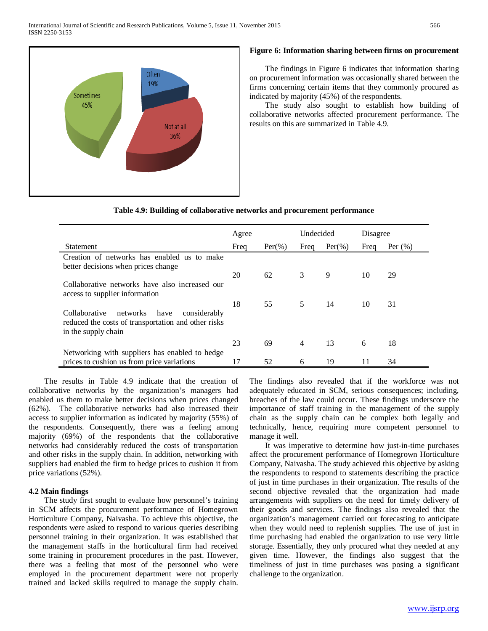

## **Figure 6: Information sharing between firms on procurement**

 The findings in Figure 6 indicates that information sharing on procurement information was occasionally shared between the firms concerning certain items that they commonly procured as indicated by majority (45%) of the respondents.

 The study also sought to establish how building of collaborative networks affected procurement performance. The results on this are summarized in Table 4.9.

| Table 4.9: Building of collaborative networks and procurement performance |  |  |
|---------------------------------------------------------------------------|--|--|
|                                                                           |  |  |

|                                                                                                                                 | Agree |           | Undecided |           | Disagree |            |
|---------------------------------------------------------------------------------------------------------------------------------|-------|-----------|-----------|-----------|----------|------------|
| <b>Statement</b>                                                                                                                | Freq  | $Per(\%)$ | Freq      | $Per(\%)$ | Freq     | Per $(\%)$ |
| Creation of networks has enabled us to make<br>better decisions when prices change                                              |       |           |           |           |          |            |
|                                                                                                                                 | 20    | 62        | 3         | 9         | 10       | 29         |
| Collaborative networks have also increased our<br>access to supplier information                                                |       |           |           |           |          |            |
| Collaborative<br>have<br>networks<br>considerably<br>reduced the costs of transportation and other risks<br>in the supply chain | 18    | 55        | 5         | 14        | 10       | 31         |
|                                                                                                                                 | 23    | 69        | 4         | 13        | 6        | 18         |
| Networking with suppliers has enabled to hedge<br>prices to cushion us from price variations                                    | 17    | 52        | 6         | 19        | 11       | 34         |

 The results in Table 4.9 indicate that the creation of collaborative networks by the organization's managers had enabled us them to make better decisions when prices changed (62%). The collaborative networks had also increased their access to supplier information as indicated by majority (55%) of the respondents. Consequently, there was a feeling among majority (69%) of the respondents that the collaborative networks had considerably reduced the costs of transportation and other risks in the supply chain. In addition, networking with suppliers had enabled the firm to hedge prices to cushion it from price variations (52%).

# **4.2 Main findings**

 The study first sought to evaluate how personnel's training in SCM affects the procurement performance of Homegrown Horticulture Company, Naivasha. To achieve this objective, the respondents were asked to respond to various queries describing personnel training in their organization. It was established that the management staffs in the horticultural firm had received some training in procurement procedures in the past. However, there was a feeling that most of the personnel who were employed in the procurement department were not properly trained and lacked skills required to manage the supply chain. The findings also revealed that if the workforce was not adequately educated in SCM, serious consequences; including, breaches of the law could occur. These findings underscore the importance of staff training in the management of the supply chain as the supply chain can be complex both legally and technically, hence, requiring more competent personnel to manage it well.

 It was imperative to determine how just-in-time purchases affect the procurement performance of Homegrown Horticulture Company, Naivasha. The study achieved this objective by asking the respondents to respond to statements describing the practice of just in time purchases in their organization. The results of the second objective revealed that the organization had made arrangements with suppliers on the need for timely delivery of their goods and services. The findings also revealed that the organization's management carried out forecasting to anticipate when they would need to replenish supplies. The use of just in time purchasing had enabled the organization to use very little storage. Essentially, they only procured what they needed at any given time. However, the findings also suggest that the timeliness of just in time purchases was posing a significant challenge to the organization.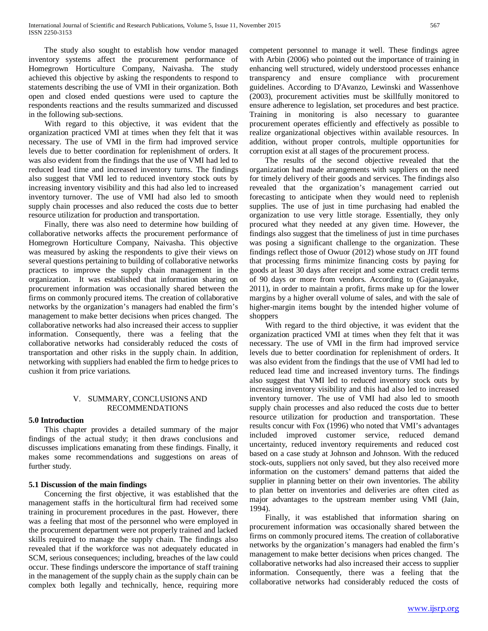The study also sought to establish how vendor managed inventory systems affect the procurement performance of Homegrown Horticulture Company, Naivasha. The study achieved this objective by asking the respondents to respond to statements describing the use of VMI in their organization. Both open and closed ended questions were used to capture the respondents reactions and the results summarized and discussed in the following sub-sections.

 With regard to this objective, it was evident that the organization practiced VMI at times when they felt that it was necessary. The use of VMI in the firm had improved service levels due to better coordination for replenishment of orders. It was also evident from the findings that the use of VMI had led to reduced lead time and increased inventory turns. The findings also suggest that VMI led to reduced inventory stock outs by increasing inventory visibility and this had also led to increased inventory turnover. The use of VMI had also led to smooth supply chain processes and also reduced the costs due to better resource utilization for production and transportation.

 Finally, there was also need to determine how building of collaborative networks affects the procurement performance of Homegrown Horticulture Company, Naivasha. This objective was measured by asking the respondents to give their views on several questions pertaining to building of collaborative networks practices to improve the supply chain management in the organization. It was established that information sharing on procurement information was occasionally shared between the firms on commonly procured items. The creation of collaborative networks by the organization's managers had enabled the firm's management to make better decisions when prices changed. The collaborative networks had also increased their access to supplier information. Consequently, there was a feeling that the collaborative networks had considerably reduced the costs of transportation and other risks in the supply chain. In addition, networking with suppliers had enabled the firm to hedge prices to cushion it from price variations.

# V. SUMMARY, CONCLUSIONS AND RECOMMENDATIONS

# **5.0 Introduction**

 This chapter provides a detailed summary of the major findings of the actual study; it then draws conclusions and discusses implications emanating from these findings. Finally, it makes some recommendations and suggestions on areas of further study.

## **5.1 Discussion of the main findings**

 Concerning the first objective, it was established that the management staffs in the horticultural firm had received some training in procurement procedures in the past. However, there was a feeling that most of the personnel who were employed in the procurement department were not properly trained and lacked skills required to manage the supply chain. The findings also revealed that if the workforce was not adequately educated in SCM, serious consequences; including, breaches of the law could occur. These findings underscore the importance of staff training in the management of the supply chain as the supply chain can be complex both legally and technically, hence, requiring more competent personnel to manage it well. These findings agree with Arbin (2006) who pointed out the importance of training in enhancing well structured, widely understood processes enhance transparency and ensure compliance with procurement guidelines. According to D'Avanzo, Lewinski and Wassenhove (2003), procurement activities must be skillfully monitored to ensure adherence to legislation, set procedures and best practice. Training in monitoring is also necessary to guarantee procurement operates efficiently and effectively as possible to realize organizational objectives within available resources. In addition, without proper controls, multiple opportunities for corruption exist at all stages of the procurement process.

 The results of the second objective revealed that the organization had made arrangements with suppliers on the need for timely delivery of their goods and services. The findings also revealed that the organization's management carried out forecasting to anticipate when they would need to replenish supplies. The use of just in time purchasing had enabled the organization to use very little storage. Essentially, they only procured what they needed at any given time. However, the findings also suggest that the timeliness of just in time purchases was posing a significant challenge to the organization. These findings reflect those of Owuor (2012) whose study on JIT found that processing firms minimize financing costs by paying for goods at least 30 days after receipt and some extract credit terms of 90 days or more from vendors. According to (Gajanayake, 2011), in order to maintain a profit, firms make up for the lower margins by a higher overall volume of sales, and with the sale of higher-margin items bought by the intended higher volume of shoppers

 With regard to the third objective, it was evident that the organization practiced VMI at times when they felt that it was necessary. The use of VMI in the firm had improved service levels due to better coordination for replenishment of orders. It was also evident from the findings that the use of VMI had led to reduced lead time and increased inventory turns. The findings also suggest that VMI led to reduced inventory stock outs by increasing inventory visibility and this had also led to increased inventory turnover. The use of VMI had also led to smooth supply chain processes and also reduced the costs due to better resource utilization for production and transportation. These results concur with Fox (1996) who noted that VMI's advantages included improved customer service, reduced demand uncertainty, reduced inventory requirements and reduced cost based on a case study at Johnson and Johnson. With the reduced stock-outs, suppliers not only saved, but they also received more information on the customers' demand patterns that aided the supplier in planning better on their own inventories. The ability to plan better on inventories and deliveries are often cited as major advantages to the upstream member using VMI (Jain, 1994).

 Finally, it was established that information sharing on procurement information was occasionally shared between the firms on commonly procured items. The creation of collaborative networks by the organization's managers had enabled the firm's management to make better decisions when prices changed. The collaborative networks had also increased their access to supplier information. Consequently, there was a feeling that the collaborative networks had considerably reduced the costs of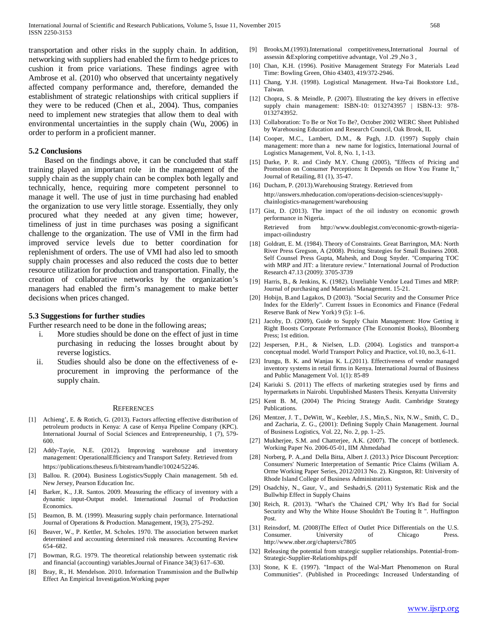transportation and other risks in the supply chain. In addition, networking with suppliers had enabled the firm to hedge prices to cushion it from price variations. These findings agree with Ambrose et al. (2010) who observed that uncertainty negatively affected company performance and, therefore, demanded the establishment of strategic relationships with critical suppliers if they were to be reduced (Chen et al., 2004). Thus, companies need to implement new strategies that allow them to deal with environmental uncertainties in the supply chain (Wu, 2006) in order to perform in a proficient manner.

#### **5.2 Conclusions**

 Based on the findings above, it can be concluded that staff training played an important role in the management of the supply chain as the supply chain can be complex both legally and technically, hence, requiring more competent personnel to manage it well. The use of just in time purchasing had enabled the organization to use very little storage. Essentially, they only procured what they needed at any given time; however, timeliness of just in time purchases was posing a significant challenge to the organization. The use of VMI in the firm had improved service levels due to better coordination for replenishment of orders. The use of VMI had also led to smooth supply chain processes and also reduced the costs due to better resource utilization for production and transportation. Finally, the creation of collaborative networks by the organization's managers had enabled the firm's management to make better decisions when prices changed.

#### **5.3 Suggestions for further studies**

Further research need to be done in the following areas;

- i. More studies should be done on the effect of just in time purchasing in reducing the losses brought about by reverse logistics.
- ii. Studies should also be done on the effectiveness of eprocurement in improving the performance of the supply chain.

#### **REFERENCES**

- [1] Achieng', E. & Rotich, G. (2013). Factors affecting effective distribution of petroleum products in Kenya: A case of Kenya Pipeline Company (KPC). International Journal of Social Sciences and Entrepreneurship, 1 (7), 579- 600.
- [2] Addy-Tayie, N.E. (2012). Improving warehouse and inventory management: OperationalEfficiency and Transport Safety. Retrieved from https://publications.theseus.fi/bitstream/handle/10024/52246.
- [3] Ballou. R. (2004). Business Logistics/Supply Chain management. 5th ed. New Jersey, Pearson Education Inc.
- [4] Barker, K., J.R. Santos. 2009. Measuring the efficacy of inventory with a dynamic input-Output model. International Journal of Production Economics.
- [5] Beamon, B. M. (1999). Measuring supply chain performance. International Journal of Operations & Production. Management, 19(3), 275-292.
- [6] Beaver, W., P. Kettler, M. Scholes. 1970. The association between market determined and accounting determined risk measures. Accounting Review 654–682.
- [7] Bowman, R.G. 1979. The theoretical relationship between systematic risk and financial (accounting) variables.Journal of Finance 34(3) 617–630.
- [8] Bray, R., H. Mendelson. 2010. Information Transmission and the Bullwhip Effect An Empirical Investigation.Working paper
- [9] Brooks,M.(1993).International competitiveness,International Journal of assessin &Exploring competitive advantage, Vol .29 ,No 3 ,
- [10] Chan, K.H. (1996). Positive Management Strategy For Materials Lead Time: Bowling Green, Ohio 43403, 419/372-2946.
- [11] Chang, Y.H. (1998). Logistical Management. Hwa-Tai Bookstore Ltd., Taiwan.
- [12] Chopra, S. & Meindle, P. (2007). Illustrating the key drivers in effective supply chain management: ISBN-10: 0132743957 | ISBN-13: 978- 0132743952.
- [13] Collaboration: To Be or Not To Be?, October 2002 WERC Sheet Published by Warehousing Education and Research Council, Oak Brook, IL
- [14] Cooper, M.C., Lambert, D.M., & Pagh, J.D. (1997) Supply chain management: more than a new name for logistics, International Journal of Logistics Management, Vol. 8, No. 1, 1-13.
- [15] Darke, P. R. and Cindy M.Y. Chung (2005), "Effects of Pricing and Promotion on Consumer Perceptions: It Depends on How You Frame It," Journal of Retailing, 81 (1), 35-47.
- [16] Ducham, P. (2013).Warehousing Strategy. Retrieved from http://answers.mheducation.com/operations-decision-sciences/supplychainlogistics-management/warehousing
- [17] Gist, D. (2013). The impact of the oil industry on economic growth performance in Nigeria.

Retrieved from http://www.doublegist.com/economic-growth-nigeriaimpact-oilindustry

- [18] Goldratt, E. M. (1984). Theory of Constraints. Great Barrington, MA: North River Press Gregson, A (2008). Pricing Strategies for Small Business 2008. Self Counsel Press Gupta, Mahesh, and Doug Snyder. "Comparing TOC with MRP and JIT: a literature review." International Journal of Production Research 47.13 (2009): 3705-3739
- [19] Harris, B., & Jenkins, K. (1982). Unreliable Vendor Lead Times and MRP: Journal of purchasing and Materials Management. 15-21.
- [20] Hobijn, B.and Lagakos, D (2003). "Social Security and the Consumer Price Index for the Elderly". Current Issues in Economics and Finance (Federal Reserve Bank of New York) 9 (5): 1–6.
- [21] Jacoby, D. (2009), Guide to Supply Chain Management: How Getting it Right Boosts Corporate Performance (The Economist Books), Bloomberg Press; 1st edition.
- [22] Jespersen, P.H., & Nielsen, L.D. (2004). Logistics and transport-a conceptual model. World Transport Policy and Practice, vol.10, no.3, 6-11.
- [23] Irungu, B. K. and Wanjau K. L.(2011). Effectiveness of vendor managed inventory systems in retail firms in Kenya. International Journal of Business and Public Management Vol. 1(1): 85-89
- [24] Kariuki S. (2011) The effects of marketing strategies used by firms and hypermarkets in Nairobi. Unpublished Masters Thesis. Kenyatta University
- [25] Kent B. M, (2004) The Pricing Strategy Audit. Cambridge Strategy Publications.
- [26] Mentzer, J. T., DeWitt, W., Keebler, J.S., Min,S., Nix, N.W., Smith, C. D., and Zacharia, Z. G., (2001): Defining Supply Chain Management. Journal of Business Logistics, Vol. 22, No. 2, pp. 1–25.
- [27] Mukherjee, S.M. and Chatterjee, A.K. (2007). The concept of bottleneck. Working Paper No. 2006-05-01, IIM Ahmedabad
- [28] Norberg, P. A.,and Della Bitta, Albert J. (2013.) Price Discount Perception: Consumers' Numeric Interpretation of Semantic Price Claims (Wiliam A. Orme Working Paper Series, 2012/2013 No. 2). Kingston, RI: University of Rhode Island College of Business Administration.
- [29] Osadchiy, N., Gaur, V., and Seshadri, S. (2011) Systematic Risk and the Bullwhip Effect in Supply Chains
- [30] Reich, R. (2013). "What's the 'Chained CPI,' Why It's Bad for Social Security and Why the White House Shouldn't Be Touting It ". Huffington Post.
- [31] Reinsdorf, M. (2008)The Effect of Outlet Price Differentials on the U.S. Consumer. University of Chicago Press. http://www.nber.org/chapters/c7805
- [32] Releasing the potential from strategic supplier relationships. Potential-from-Strategic-Supplier-Relationships.pdf
- [33] Stone, K E. (1997). "Impact of the Wal-Mart Phenomenon on Rural Communities". (Published in Proceedings: Increased Understanding of